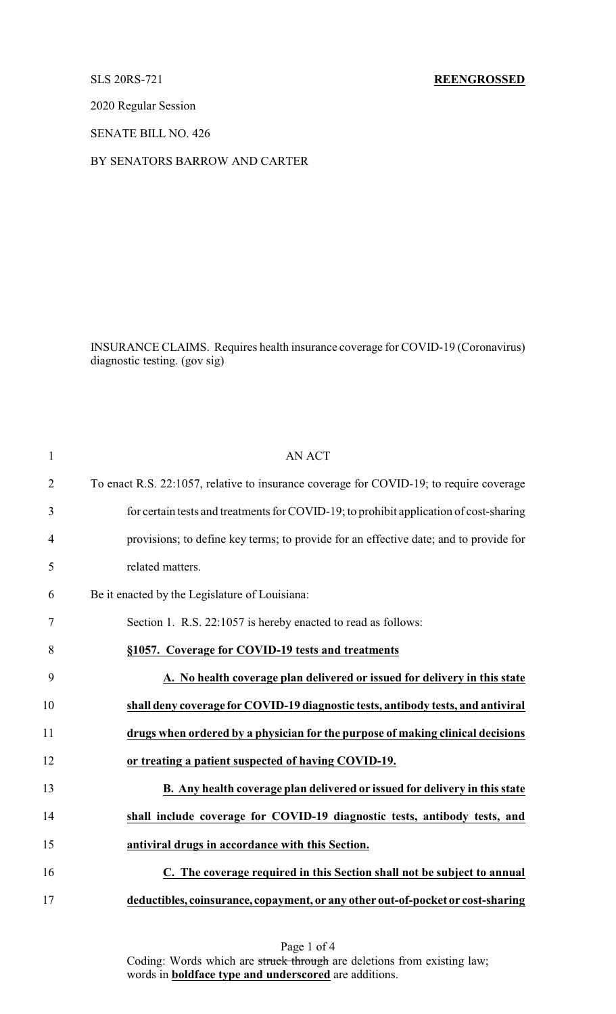2020 Regular Session

SENATE BILL NO. 426

BY SENATORS BARROW AND CARTER

INSURANCE CLAIMS. Requires health insurance coverage for COVID-19 (Coronavirus) diagnostic testing. (gov sig)

| 1              | <b>AN ACT</b>                                                                           |
|----------------|-----------------------------------------------------------------------------------------|
| $\overline{2}$ | To enact R.S. 22:1057, relative to insurance coverage for COVID-19; to require coverage |
| 3              | for certain tests and treatments for COVID-19; to prohibit application of cost-sharing  |
| $\overline{4}$ | provisions; to define key terms; to provide for an effective date; and to provide for   |
| 5              | related matters.                                                                        |
| 6              | Be it enacted by the Legislature of Louisiana:                                          |
| 7              | Section 1. R.S. 22:1057 is hereby enacted to read as follows:                           |
| 8              | §1057. Coverage for COVID-19 tests and treatments                                       |
| 9              | A. No health coverage plan delivered or issued for delivery in this state               |
| 10             | shall deny coverage for COVID-19 diagnostic tests, antibody tests, and antiviral        |
| 11             | drugs when ordered by a physician for the purpose of making clinical decisions          |
| 12             | or treating a patient suspected of having COVID-19.                                     |
| 13             | B. Any health coverage plan delivered or issued for delivery in this state              |
| 14             | shall include coverage for COVID-19 diagnostic tests, antibody tests, and               |
| 15             | antiviral drugs in accordance with this Section.                                        |
| 16             | C. The coverage required in this Section shall not be subject to annual                 |
| 17             | deductibles, coinsurance, copayment, or any other out-of-pocket or cost-sharing         |

Page 1 of 4 Coding: Words which are struck through are deletions from existing law; words in **boldface type and underscored** are additions.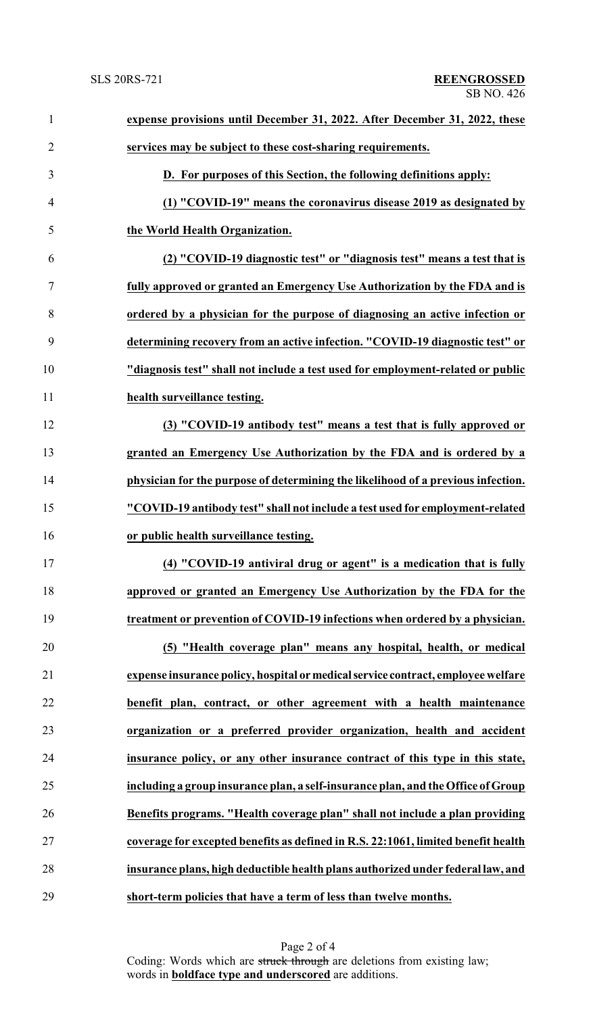| $\mathbf{1}$   | expense provisions until December 31, 2022. After December 31, 2022, these        |
|----------------|-----------------------------------------------------------------------------------|
| $\overline{2}$ | services may be subject to these cost-sharing requirements.                       |
| 3              | D. For purposes of this Section, the following definitions apply:                 |
| $\overline{4}$ | (1) "COVID-19" means the coronavirus disease 2019 as designated by                |
| 5              | the World Health Organization.                                                    |
| 6              | (2) "COVID-19 diagnostic test" or "diagnosis test" means a test that is           |
| $\tau$         | fully approved or granted an Emergency Use Authorization by the FDA and is        |
| 8              | ordered by a physician for the purpose of diagnosing an active infection or       |
| 9              | determining recovery from an active infection. "COVID-19 diagnostic test" or      |
| 10             | "diagnosis test" shall not include a test used for employment-related or public   |
| 11             | health surveillance testing.                                                      |
| 12             | (3) "COVID-19 antibody test" means a test that is fully approved or               |
| 13             | granted an Emergency Use Authorization by the FDA and is ordered by a             |
| 14             | physician for the purpose of determining the likelihood of a previous infection.  |
| 15             | "COVID-19 antibody test" shall not include a test used for employment-related     |
| 16             | or public health surveillance testing.                                            |
| 17             | (4) "COVID-19 antiviral drug or agent" is a medication that is fully              |
| 18             | approved or granted an Emergency Use Authorization by the FDA for the             |
| 19             | treatment or prevention of COVID-19 infections when ordered by a physician.       |
| 20             | (5) "Health coverage plan" means any hospital, health, or medical                 |
| 21             | expense insurance policy, hospital or medical service contract, employee welfare  |
| 22             | benefit plan, contract, or other agreement with a health maintenance              |
| 23             | organization or a preferred provider organization, health and accident            |
| 24             | insurance policy, or any other insurance contract of this type in this state,     |
| 25             | including a group insurance plan, a self-insurance plan, and the Office of Group  |
| 26             | Benefits programs. "Health coverage plan" shall not include a plan providing      |
| 27             | coverage for excepted benefits as defined in R.S. 22:1061, limited benefit health |
| 28             | insurance plans, high deductible health plans authorized under federal law, and   |
| 29             | short-term policies that have a term of less than twelve months.                  |

Page 2 of 4 Coding: Words which are struck through are deletions from existing law; words in **boldface type and underscored** are additions.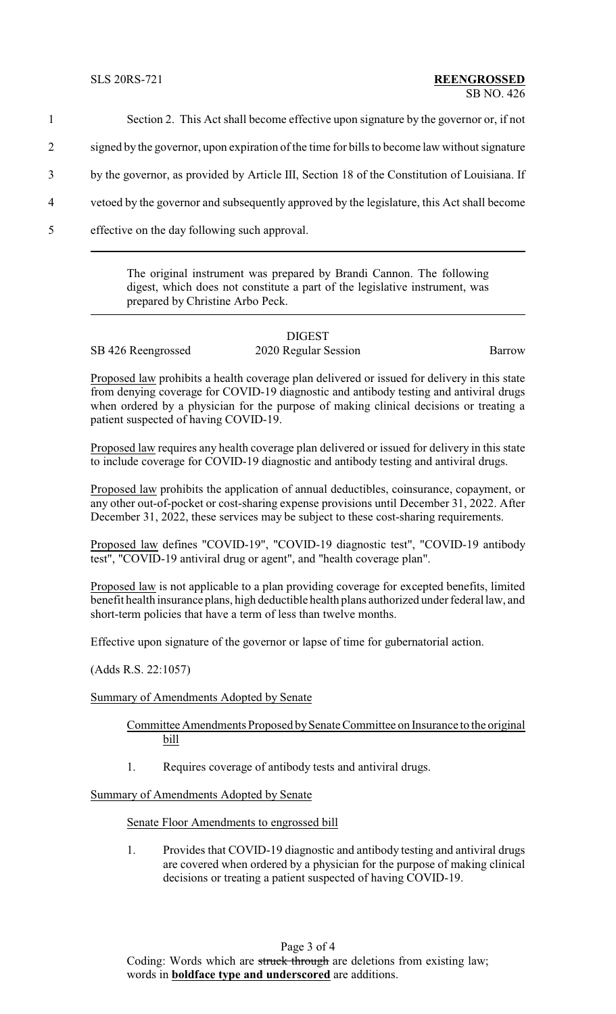1 Section 2. This Act shall become effective upon signature by the governor or, if not

2 signed by the governor, upon expiration of the time for bills to become law without signature

3 by the governor, as provided by Article III, Section 18 of the Constitution of Louisiana. If

- 4 vetoed by the governor and subsequently approved by the legislature, this Act shall become
- 5 effective on the day following such approval.

The original instrument was prepared by Brandi Cannon. The following digest, which does not constitute a part of the legislative instrument, was prepared by Christine Arbo Peck.

## DIGEST

SB 426 Reengrossed 2020 Regular Session Barrow

Proposed law prohibits a health coverage plan delivered or issued for delivery in this state from denying coverage for COVID-19 diagnostic and antibody testing and antiviral drugs when ordered by a physician for the purpose of making clinical decisions or treating a patient suspected of having COVID-19.

Proposed law requires any health coverage plan delivered or issued for delivery in this state to include coverage for COVID-19 diagnostic and antibody testing and antiviral drugs.

Proposed law prohibits the application of annual deductibles, coinsurance, copayment, or any other out-of-pocket or cost-sharing expense provisions until December 31, 2022. After December 31, 2022, these services may be subject to these cost-sharing requirements.

Proposed law defines "COVID-19", "COVID-19 diagnostic test", "COVID-19 antibody test", "COVID-19 antiviral drug or agent", and "health coverage plan".

Proposed law is not applicable to a plan providing coverage for excepted benefits, limited benefit health insurance plans, high deductible health plans authorized under federal law, and short-term policies that have a term of less than twelve months.

Effective upon signature of the governor or lapse of time for gubernatorial action.

(Adds R.S. 22:1057)

Summary of Amendments Adopted by Senate

Committee Amendments Proposed by Senate Committee on Insurance to the original bill

1. Requires coverage of antibody tests and antiviral drugs.

Summary of Amendments Adopted by Senate

Senate Floor Amendments to engrossed bill

1. Provides that COVID-19 diagnostic and antibody testing and antiviral drugs are covered when ordered by a physician for the purpose of making clinical decisions or treating a patient suspected of having COVID-19.

Page 3 of 4 Coding: Words which are struck through are deletions from existing law; words in **boldface type and underscored** are additions.